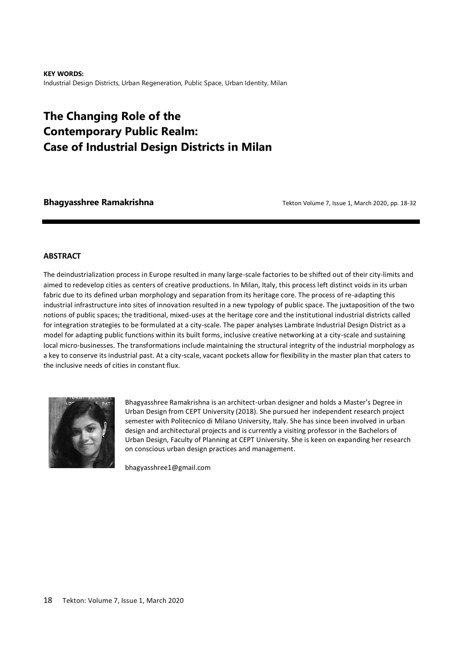**KEY WORDS:**  Industrial Design Districts, Urban Regeneration, Public Space, Urban Identity, Milan

# **The Changing Role of the Contemporary Public Realm: Case of Industrial Design Districts in Milan**

**Bhagyasshree Ramakrishna by a straight 1** Tekton Volume 7, Issue 1, March 2020, pp. 18-32

#### **ABSTRACT**

The deindustrialization process in Europe resulted in many large-scale factories to be shifted out of their city-limits and aimed to redevelop cities as centers of creative productions. In Milan, Italy, this process left distinct voids in its urban fabric due to its defined urban morphology and separation from its heritage core. The process of re-adapting this industrial infrastructure into sites of innovation resulted in a new typology of public space. The juxtaposition of the two notions of public spaces; the traditional, mixed-uses at the heritage core and the institutional industrial districts called for integration strategies to be formulated at a city-scale. The paper analyses Lambrate Industrial Design District as a model for adapting public functions within its built forms, inclusive creative networking at a city-scale and sustaining local micro-businesses. The transformations include maintaining the structural integrity of the industrial morphology as a key to conserve its industrial past. At a city-scale, vacant pockets allow for flexibility in the master plan that caters to the inclusive needs of cities in constant flux.



Bhagyasshree Ramakrishna is an architect-urban designer and holds a Master's Degree in Urban Design from CEPT University (2018). She pursued her independent research project semester with Politecnico di Milano University, Italy. She has since been involved in urban design and architectural projects and is currently a visiting professor in the Bachelors of Urban Design, Faculty of Planning at CEPT University. She is keen on expanding her research on conscious urban design practices and management.

bhagyasshree1@gmail.com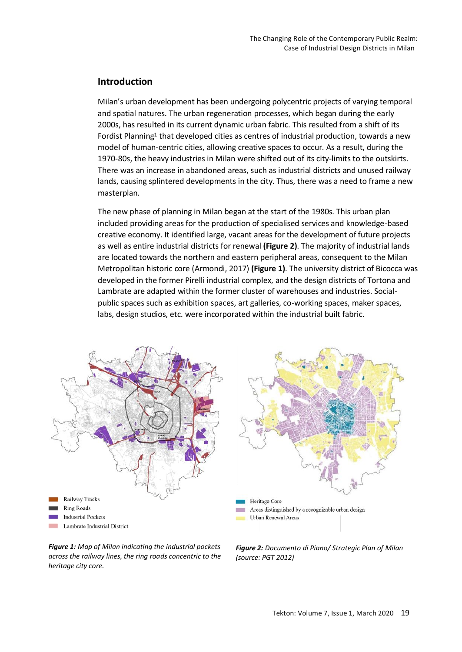### **Introduction**

Milan's urban development has been undergoing polycentric projects of varying temporal and spatial natures. The urban regeneration processes, which began during the early 2000s, has resulted in its current dynamic urban fabric. This resulted from a shift of its Fordist Planning<sup>1</sup> that developed cities as centres of industrial production, towards a new model of human-centric cities, allowing creative spaces to occur. As a result, during the 1970-80s, the heavy industries in Milan were shifted out of its city-limits to the outskirts. There was an increase in abandoned areas, such as industrial districts and unused railway lands, causing splintered developments in the city. Thus, there was a need to frame a new masterplan.

The new phase of planning in Milan began at the start of the 1980s. This urban plan included providing areas for the production of specialised services and knowledge-based creative economy. It identified large, vacant areas for the development of future projects as well as entire industrial districts for renewal **(Figure 2)**. The majority of industrial lands are located towards the northern and eastern peripheral areas, consequent to the Milan Metropolitan historic core (Armondi, 2017) **(Figure 1)**. The university district of Bicocca was developed in the former Pirelli industrial complex, and the design districts of Tortona and Lambrate are adapted within the former cluster of warehouses and industries. Socialpublic spaces such as exhibition spaces, art galleries, co-working spaces, maker spaces, labs, design studios, etc. were incorporated within the industrial built fabric.





*Figure 1: Map of Milan indicating the industrial pockets across the railway lines, the ring roads concentric to the heritage city core.*

*Figure 2: Documento di Piano/ Strategic Plan of Milan (source: PGT 2012)*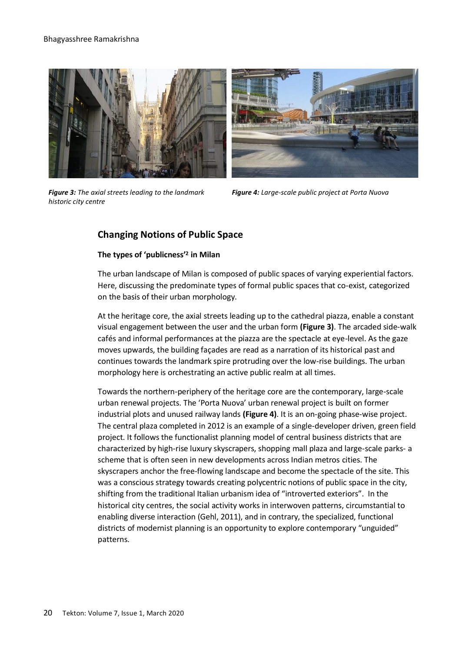#### Bhagyasshree Ramakrishna



*Figure 3: The axial streets leading to the landmark historic city centre*



*Figure 4: Large-scale public project at Porta Nuova* 

## **Changing Notions of Public Space**

### **The types of 'publicness' 2 in Milan**

The urban landscape of Milan is composed of public spaces of varying experiential factors. Here, discussing the predominate types of formal public spaces that co-exist, categorized on the basis of their urban morphology.

At the heritage core, the axial streets leading up to the cathedral piazza, enable a constant visual engagement between the user and the urban form **(Figure 3)**. The arcaded side-walk cafés and informal performances at the piazza are the spectacle at eye-level. As the gaze moves upwards, the building façades are read as a narration of its historical past and continues towards the landmark spire protruding over the low-rise buildings. The urban morphology here is orchestrating an active public realm at all times.

Towards the northern-periphery of the heritage core are the contemporary, large-scale urban renewal projects. The 'Porta Nuova' urban renewal project is built on former industrial plots and unused railway lands **(Figure 4)**. It is an on-going phase-wise project. The central plaza completed in 2012 is an example of a single-developer driven, green field project. It follows the functionalist planning model of central business districts that are characterized by high-rise luxury skyscrapers, shopping mall plaza and large-scale parks- a scheme that is often seen in new developments across Indian metros cities. The skyscrapers anchor the free-flowing landscape and become the spectacle of the site. This was a conscious strategy towards creating polycentric notions of public space in the city, shifting from the traditional Italian urbanism idea of "introverted exteriors". In the historical city centres, the social activity works in interwoven patterns, circumstantial to enabling diverse interaction (Gehl, 2011), and in contrary, the specialized, functional districts of modernist planning is an opportunity to explore contemporary "unguided" patterns.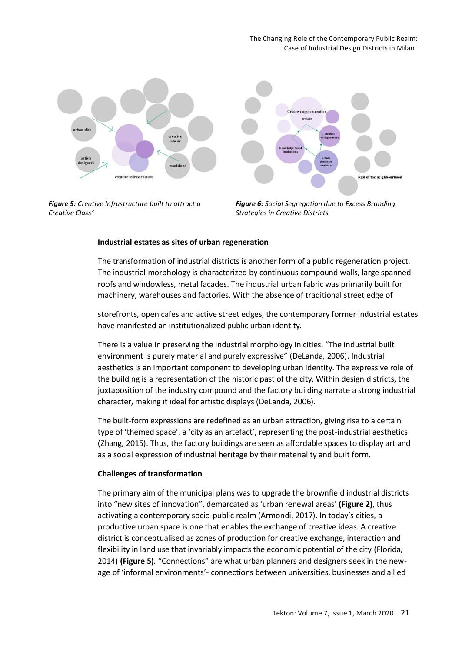

*Figure 5: Creative Infrastructure built to attract a Creative Class<sup>3</sup>*



*Figure 6: Social Segregation due to Excess Branding Strategies in Creative Districts*

## **Industrial estates as sites of urban regeneration**

The transformation of industrial districts is another form of a public regeneration project. The industrial morphology is characterized by continuous compound walls, large spanned roofs and windowless, metal facades. The industrial urban fabric was primarily built for machinery, warehouses and factories. With the absence of traditional street edge of

storefronts, open cafes and active street edges, the contemporary former industrial estates have manifested an institutionalized public urban identity.

There is a value in preserving the industrial morphology in cities. "The industrial built environment is purely material and purely expressive" (DeLanda, 2006). Industrial aesthetics is an important component to developing urban identity. The expressive role of the building is a representation of the historic past of the city. Within design districts, the juxtaposition of the industry compound and the factory building narrate a strong industrial character, making it ideal for artistic displays (DeLanda, 2006).

The built-form expressions are redefined as an urban attraction, giving rise to a certain type of 'themed space', a 'city as an artefact', representing the post-industrial aesthetics (Zhang, 2015). Thus, the factory buildings are seen as affordable spaces to display art and as a social expression of industrial heritage by their materiality and built form.

# **Challenges of transformation**

The primary aim of the municipal plans was to upgrade the brownfield industrial districts into "new sites of innovation", demarcated as 'urban renewal areas' **(Figure 2)**, thus activating a contemporary socio-public realm (Armondi, 2017). In today's cities, a productive urban space is one that enables the exchange of creative ideas. A creative district is conceptualised as zones of production for creative exchange, interaction and flexibility in land use that invariably impacts the economic potential of the city (Florida, 2014) **(Figure 5)***.* "Connections" are what urban planners and designers seek in the newage of 'informal environments'- connections between universities, businesses and allied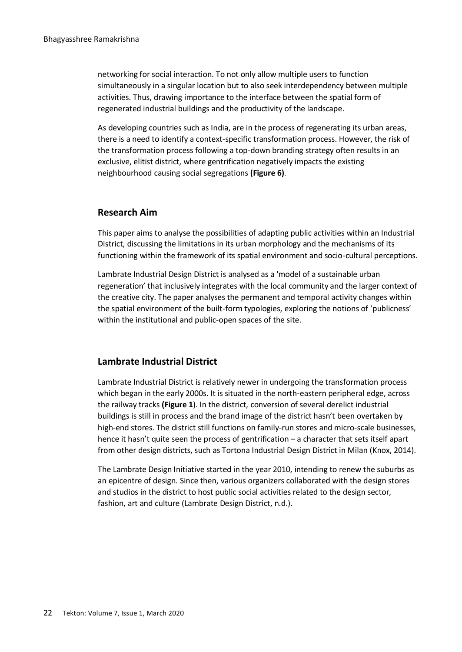networking for social interaction. To not only allow multiple users to function simultaneously in a singular location but to also seek interdependency between multiple activities. Thus, drawing importance to the interface between the spatial form of regenerated industrial buildings and the productivity of the landscape.

As developing countries such as India, are in the process of regenerating its urban areas, there is a need to identify a context-specific transformation process. However, the risk of the transformation process following a top-down branding strategy often results in an exclusive, elitist district, where gentrification negatively impacts the existing neighbourhood causing social segregations **(Figure 6)**.

### **Research Aim**

This paper aims to analyse the possibilities of adapting public activities within an Industrial District, discussing the limitations in its urban morphology and the mechanisms of its functioning within the framework of its spatial environment and socio-cultural perceptions.

Lambrate Industrial Design District is analysed as a 'model of a sustainable urban regeneration' that inclusively integrates with the local community and the larger context of the creative city. The paper analyses the permanent and temporal activity changes within the spatial environment of the built-form typologies, exploring the notions of 'publicness' within the institutional and public-open spaces of the site.

### **Lambrate Industrial District**

Lambrate Industrial District is relatively newer in undergoing the transformation process which began in the early 2000s. It is situated in the north-eastern peripheral edge, across the railway tracks **(Figure 1**). In the district, conversion of several derelict industrial buildings is still in process and the brand image of the district hasn't been overtaken by high-end stores. The district still functions on family-run stores and micro-scale businesses, hence it hasn't quite seen the process of gentrification – a character that sets itself apart from other design districts, such as Tortona Industrial Design District in Milan (Knox, 2014).

The Lambrate Design Initiative started in the year 2010, intending to renew the suburbs as an epicentre of design. Since then, various organizers collaborated with the design stores and studios in the district to host public social activities related to the design sector, fashion, art and culture (Lambrate Design District, n.d.).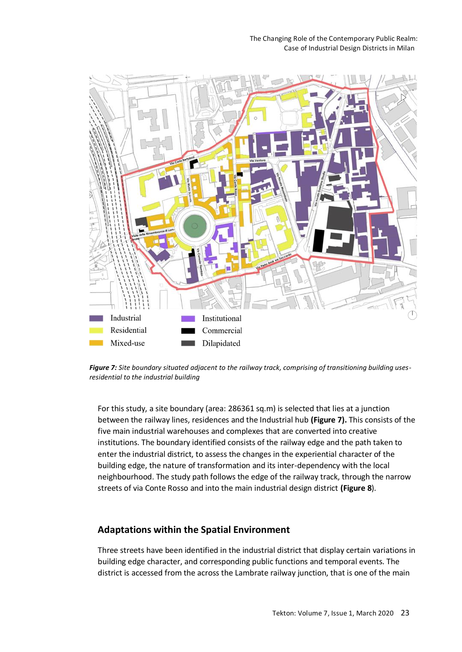

*Figure 7: Site boundary situated adjacent to the railway track, comprising of transitioning building usesresidential to the industrial building*

For this study, a site boundary (area: 286361 sq.m) is selected that lies at a junction between the railway lines, residences and the Industrial hub **(Figure 7).** This consists of the five main industrial warehouses and complexes that are converted into creative institutions. The boundary identified consists of the railway edge and the path taken to enter the industrial district, to assess the changes in the experiential character of the building edge, the nature of transformation and its inter-dependency with the local neighbourhood. The study path follows the edge of the railway track, through the narrow streets of via Conte Rosso and into the main industrial design district **(Figure 8**).

## **Adaptations within the Spatial Environment**

Three streets have been identified in the industrial district that display certain variations in building edge character, and corresponding public functions and temporal events. The district is accessed from the across the Lambrate railway junction, that is one of the main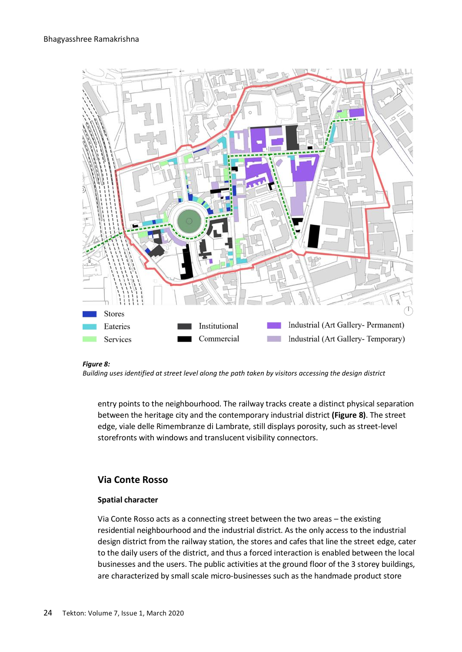

#### *Figure 8:*

*Building uses identified at street level along the path taken by visitors accessing the design district* 

entry points to the neighbourhood. The railway tracks create a distinct physical separation between the heritage city and the contemporary industrial district **(Figure 8)**. The street edge, viale delle Rimembranze di Lambrate, still displays porosity, such as street-level storefronts with windows and translucent visibility connectors.

## **Via Conte Rosso**

#### **Spatial character**

Via Conte Rosso acts as a connecting street between the two areas – the existing residential neighbourhood and the industrial district. As the only access to the industrial design district from the railway station, the stores and cafes that line the street edge, cater to the daily users of the district, and thus a forced interaction is enabled between the local businesses and the users. The public activities at the ground floor of the 3 storey buildings, are characterized by small scale micro-businesses such as the handmade product store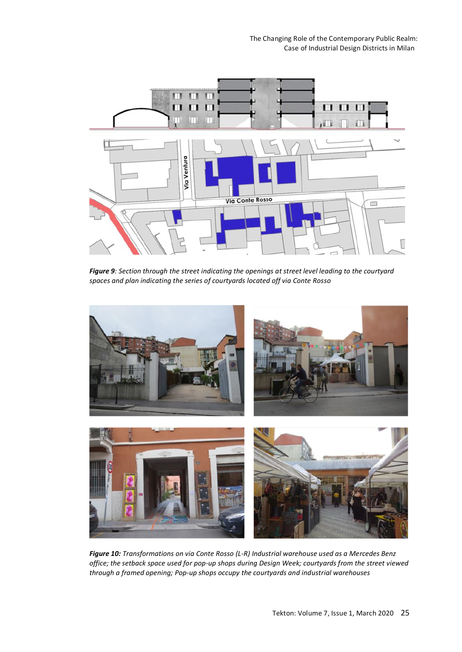

*Figure 9: Section through the street indicating the openings at street level leading to the courtyard spaces and plan indicating the series of courtyards located off via Conte Rosso*



*Figure 10: Transformations on via Conte Rosso (L-R) Industrial warehouse used as a Mercedes Benz office; the setback space used for pop-up shops during Design Week; courtyards from the street viewed through a framed opening; Pop-up shops occupy the courtyards and industrial warehouses*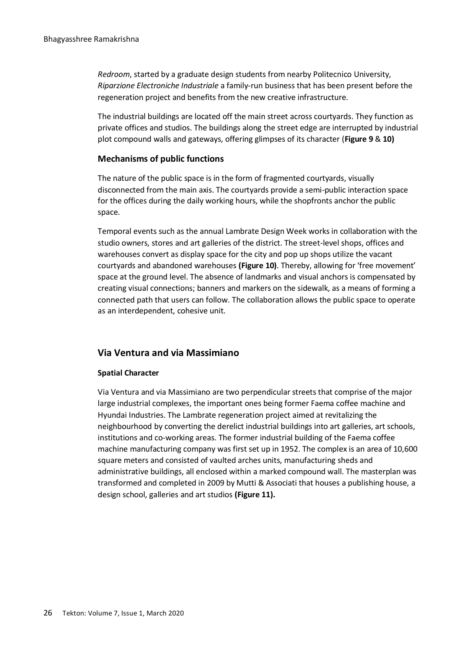*Redroom*, started by a graduate design students from nearby Politecnico University, *Riparzione Electroniche Industriale* a family-run business that has been present before the regeneration project and benefits from the new creative infrastructure.

The industrial buildings are located off the main street across courtyards. They function as private offices and studios. The buildings along the street edge are interrupted by industrial plot compound walls and gateways, offering glimpses of its character (**Figure 9** & **10)**

#### **Mechanisms of public functions**

The nature of the public space is in the form of fragmented courtyards, visually disconnected from the main axis. The courtyards provide a semi-public interaction space for the offices during the daily working hours, while the shopfronts anchor the public space.

Temporal events such as the annual Lambrate Design Week works in collaboration with the studio owners, stores and art galleries of the district. The street-level shops, offices and warehouses convert as display space for the city and pop up shops utilize the vacant courtyards and abandoned warehouses **(Figure 10)**. Thereby, allowing for 'free movement' space at the ground level. The absence of landmarks and visual anchors is compensated by creating visual connections; banners and markers on the sidewalk, as a means of forming a connected path that users can follow. The collaboration allows the public space to operate as an interdependent, cohesive unit.

### **Via Ventura and via Massimiano**

#### **Spatial Character**

Via Ventura and via Massimiano are two perpendicular streets that comprise of the major large industrial complexes, the important ones being former Faema coffee machine and Hyundai Industries. The Lambrate regeneration project aimed at revitalizing the neighbourhood by converting the derelict industrial buildings into art galleries, art schools, institutions and co-working areas. The former industrial building of the Faema coffee machine manufacturing company was first set up in 1952. The complex is an area of 10,600 square meters and consisted of vaulted arches units, manufacturing sheds and administrative buildings, all enclosed within a marked compound wall. The masterplan was transformed and completed in 2009 by Mutti & Associati that houses a publishing house, a design school, galleries and art studios **(Figure 11).**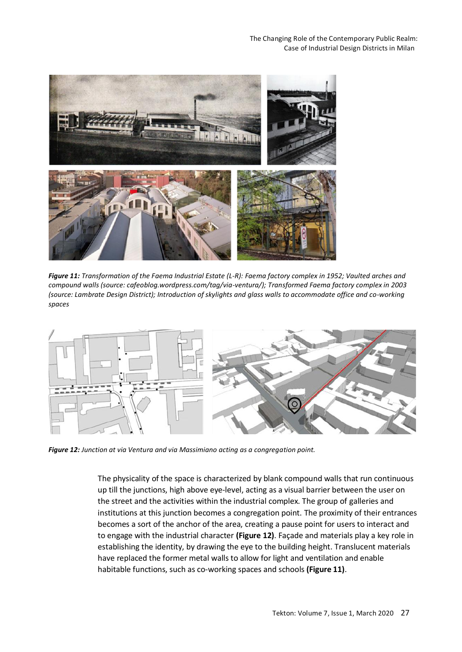

*Figure 11: Transformation of the Faema Industrial Estate (L-R): Faema factory complex in 1952; Vaulted arches and compound walls (source: cafeoblog.wordpress.com/tag/via-ventura/); Transformed Faema factory complex in 2003 (source: Lambrate Design District); Introduction of skylights and glass walls to accommodate office and co-working spaces* 



*Figure 12: Junction at via Ventura and via Massimiano acting as a congregation point.*

The physicality of the space is characterized by blank compound walls that run continuous up till the junctions, high above eye-level, acting as a visual barrier between the user on the street and the activities within the industrial complex. The group of galleries and institutions at this junction becomes a congregation point. The proximity of their entrances becomes a sort of the anchor of the area, creating a pause point for users to interact and to engage with the industrial character **(Figure 12)**. Façade and materials play a key role in establishing the identity, by drawing the eye to the building height. Translucent materials have replaced the former metal walls to allow for light and ventilation and enable habitable functions, such as co-working spaces and schools **(Figure 11)**.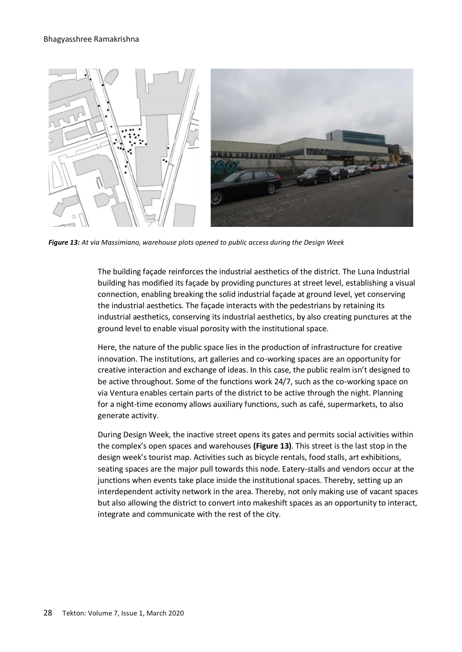

*Figure 13: At via Massimiano, warehouse plots opened to public access during the Design Week*

The building façade reinforces the industrial aesthetics of the district. The Luna Industrial building has modified its façade by providing punctures at street level, establishing a visual connection, enabling breaking the solid industrial façade at ground level, yet conserving the industrial aesthetics. The façade interacts with the pedestrians by retaining its industrial aesthetics, conserving its industrial aesthetics, by also creating punctures at the ground level to enable visual porosity with the institutional space.

Here, the nature of the public space lies in the production of infrastructure for creative innovation. The institutions, art galleries and co-working spaces are an opportunity for creative interaction and exchange of ideas. In this case, the public realm isn't designed to be active throughout. Some of the functions work 24/7, such as the co-working space on via Ventura enables certain parts of the district to be active through the night. Planning for a night-time economy allows auxiliary functions, such as café, supermarkets, to also generate activity.

During Design Week, the inactive street opens its gates and permits social activities within the complex's open spaces and warehouses **(Figure 13)**. This street is the last stop in the design week's tourist map. Activities such as bicycle rentals, food stalls, art exhibitions, seating spaces are the major pull towards this node. Eatery-stalls and vendors occur at the junctions when events take place inside the institutional spaces. Thereby, setting up an interdependent activity network in the area. Thereby, not only making use of vacant spaces but also allowing the district to convert into makeshift spaces as an opportunity to interact, integrate and communicate with the rest of the city.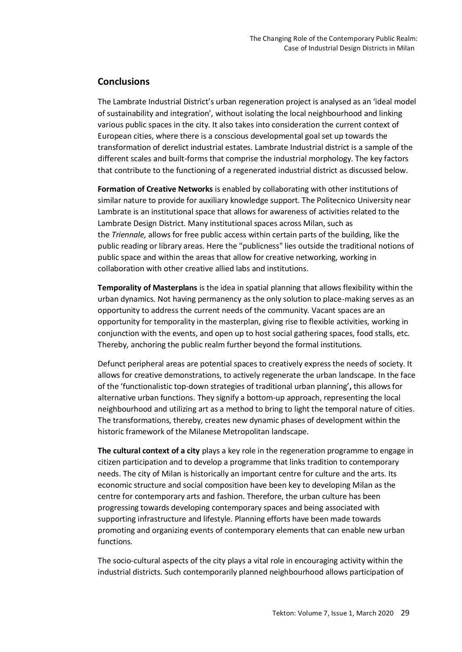# **Conclusions**

The Lambrate Industrial District's urban regeneration project is analysed as an 'ideal model of sustainability and integration', without isolating the local neighbourhood and linking various public spaces in the city. It also takes into consideration the current context of European cities, where there is a conscious developmental goal set up towards the transformation of derelict industrial estates. Lambrate Industrial district is a sample of the different scales and built-forms that comprise the industrial morphology. The key factors that contribute to the functioning of a regenerated industrial district as discussed below.

**Formation of Creative Networks** is enabled by collaborating with other institutions of similar nature to provide for auxiliary knowledge support. The Politecnico University near Lambrate is an institutional space that allows for awareness of activities related to the Lambrate Design District. Many institutional spaces across Milan, such as the *Triennale,* allows for free public access within certain parts of the building, like the public reading or library areas. Here the "publicness" lies outside the traditional notions of public space and within the areas that allow for creative networking, working in collaboration with other creative allied labs and institutions.

**Temporality of Masterplans** is the idea in spatial planning that allows flexibility within the urban dynamics. Not having permanency as the only solution to place-making serves as an opportunity to address the current needs of the community*.* Vacant spaces are an opportunity for temporality in the masterplan, giving rise to flexible activities, working in conjunction with the events, and open up to host social gathering spaces, food stalls, etc. Thereby, anchoring the public realm further beyond the formal institutions.

Defunct peripheral areas are potential spaces to creatively express the needs of society. It allows for creative demonstrations, to actively regenerate the urban landscape. In the face of the 'functionalistic top-down strategies of traditional urban planning'**,** this allows for alternative urban functions. They signify a bottom-up approach, representing the local neighbourhood and utilizing art as a method to bring to light the temporal nature of cities. The transformations, thereby, creates new dynamic phases of development within the historic framework of the Milanese Metropolitan landscape.

**The cultural context of a city** plays a key role in the regeneration programme to engage in citizen participation and to develop a programme that links tradition to contemporary needs. The city of Milan is historically an important centre for culture and the arts. Its economic structure and social composition have been key to developing Milan as the centre for contemporary arts and fashion. Therefore, the urban culture has been progressing towards developing contemporary spaces and being associated with supporting infrastructure and lifestyle. Planning efforts have been made towards promoting and organizing events of contemporary elements that can enable new urban functions.

The socio-cultural aspects of the city plays a vital role in encouraging activity within the industrial districts. Such contemporarily planned neighbourhood allows participation of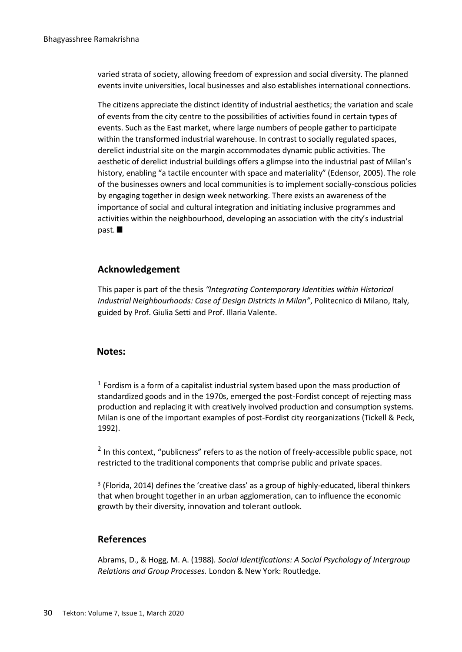varied strata of society, allowing freedom of expression and social diversity. The planned events invite universities, local businesses and also establishes international connections.

The citizens appreciate the distinct identity of industrial aesthetics; the variation and scale of events from the city centre to the possibilities of activities found in certain types of events. Such as the East market, where large numbers of people gather to participate within the transformed industrial warehouse. In contrast to socially regulated spaces, derelict industrial site on the margin accommodates dynamic public activities. The aesthetic of derelict industrial buildings offers a glimpse into the industrial past of Milan's history, enabling "a tactile encounter with space and materiality" (Edensor, 2005). The role of the businesses owners and local communities is to implement socially-conscious policies by engaging together in design week networking. There exists an awareness of the importance of social and cultural integration and initiating inclusive programmes and activities within the neighbourhood, developing an association with the city's industrial past.

## **Acknowledgement**

This paper is part of the thesis *"Integrating Contemporary Identities within Historical Industrial Neighbourhoods: Case of Design Districts in Milan"*, Politecnico di Milano, Italy, guided by Prof. Giulia Setti and Prof. Illaria Valente.

## **Notes:**

 $<sup>1</sup>$  Fordism is a form of a capitalist industrial system based upon the mass production of</sup> standardized goods and in the 1970s, emerged the post-Fordist concept of rejecting mass production and replacing it with creatively involved production and consumption systems. Milan is one of the important examples of post-Fordist city reorganizations (Tickell & Peck, 1992).

 $^2$  In this context, "publicness" refers to as the notion of freely-accessible public space, not restricted to the traditional components that comprise public and private spaces.

3 (Florida, 2014) defines the 'creative class' as a group of highly-educated, liberal thinkers that when brought together in an urban agglomeration, can to influence the economic growth by their diversity, innovation and tolerant outlook.

### **References**

Abrams, D., & Hogg, M. A. (1988). *Social Identifications: A Social Psychology of Intergroup Relations and Group Processes.* London & New York: Routledge.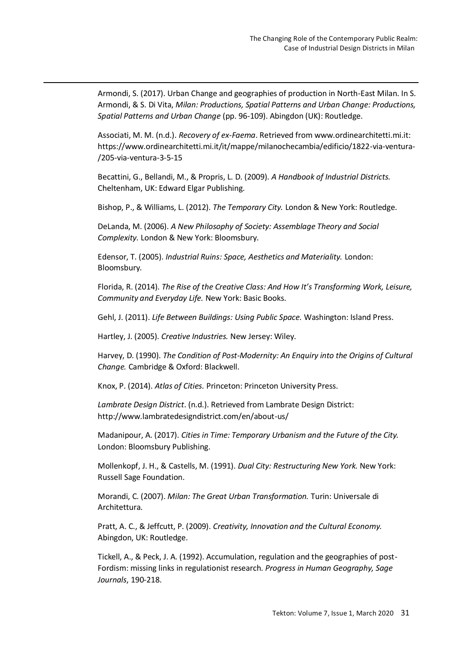Armondi, S. (2017). Urban Change and geographies of production in North-East Milan. In S. Armondi, & S. Di Vita, *Milan: Productions, Spatial Patterns and Urban Change: Productions, Spatial Patterns and Urban Change* (pp. 96-109). Abingdon (UK): Routledge.

Associati, M. M. (n.d.). *Recovery of ex-Faema*. Retrieved from www.ordinearchitetti.mi.it: https://www.ordinearchitetti.mi.it/it/mappe/milanochecambia/edificio/1822-via-ventura- /205-via-ventura-3-5-15

Becattini, G., Bellandi, M., & Propris, L. D. (2009). *A Handbook of Industrial Districts.* Cheltenham, UK: Edward Elgar Publishing.

Bishop, P., & Williams, L. (2012). *The Temporary City.* London & New York: Routledge.

DeLanda, M. (2006). *A New Philosophy of Society: Assemblage Theory and Social Complexity.* London & New York: Bloomsbury.

Edensor, T. (2005). *Industrial Ruins: Space, Aesthetics and Materiality.* London: Bloomsbury.

Florida, R. (2014). *The Rise of the Creative Class: And How It's Transforming Work, Leisure, Community and Everyday Life.* New York: Basic Books.

Gehl, J. (2011). *Life Between Buildings: Using Public Space.* Washington: Island Press.

Hartley, J. (2005). *Creative Industries.* New Jersey: Wiley.

Harvey, D. (1990). *The Condition of Post-Modernity: An Enquiry into the Origins of Cultural Change.* Cambridge & Oxford: Blackwell.

Knox, P. (2014). *Atlas of Cities.* Princeton: Princeton University Press.

*Lambrate Design District*. (n.d.). Retrieved from Lambrate Design District: http://www.lambratedesigndistrict.com/en/about-us/

Madanipour, A. (2017). *Cities in Time: Temporary Urbanism and the Future of the City.* London: Bloomsbury Publishing.

Mollenkopf, J. H., & Castells, M. (1991). *Dual City: Restructuring New York.* New York: Russell Sage Foundation.

Morandi, C. (2007). *Milan: The Great Urban Transformation.* Turin: Universale di Architettura.

Pratt, A. C., & Jeffcutt, P. (2009). *Creativity, Innovation and the Cultural Economy.* Abingdon, UK: Routledge.

Tickell, A., & Peck, J. A. (1992). Accumulation, regulation and the geographies of post-Fordism: missing links in regulationist research. *Progress in Human Geography, Sage Journals*, 190-218.